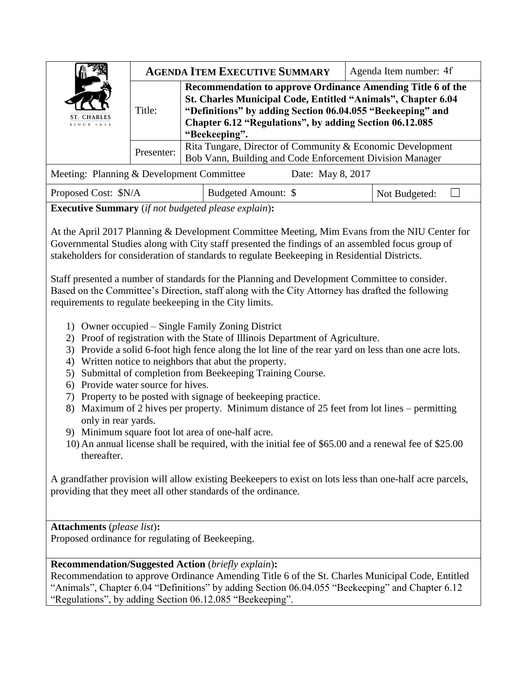| ST. CHARLES<br>SINCE 1834                                      |            |                                                                                                                                                                                                                                                                       | <b>AGENDA ITEM EXECUTIVE SUMMARY</b> |  | Agenda Item number: 4f |  |
|----------------------------------------------------------------|------------|-----------------------------------------------------------------------------------------------------------------------------------------------------------------------------------------------------------------------------------------------------------------------|--------------------------------------|--|------------------------|--|
|                                                                | Title:     | Recommendation to approve Ordinance Amending Title 6 of the<br>St. Charles Municipal Code, Entitled "Animals", Chapter 6.04<br>"Definitions" by adding Section 06.04.055 "Beekeeping" and<br>Chapter 6.12 "Regulations", by adding Section 06.12.085<br>"Beekeeping". |                                      |  |                        |  |
|                                                                | Presenter: | Rita Tungare, Director of Community & Economic Development<br>Bob Vann, Building and Code Enforcement Division Manager                                                                                                                                                |                                      |  |                        |  |
| Meeting: Planning & Development Committee<br>Date: May 8, 2017 |            |                                                                                                                                                                                                                                                                       |                                      |  |                        |  |
| Proposed Cost: \$N/A                                           |            |                                                                                                                                                                                                                                                                       | Budgeted Amount: \$                  |  | Not Budgeted:          |  |

**Executive Summary** (*if not budgeted please explain*)**:**

At the April 2017 Planning & Development Committee Meeting, Mim Evans from the NIU Center for Governmental Studies along with City staff presented the findings of an assembled focus group of stakeholders for consideration of standards to regulate Beekeeping in Residential Districts.

Staff presented a number of standards for the Planning and Development Committee to consider. Based on the Committee's Direction, staff along with the City Attorney has drafted the following requirements to regulate beekeeping in the City limits.

- 1) Owner occupied Single Family Zoning District
- 2) Proof of registration with the State of Illinois Department of Agriculture.
- 3) Provide a solid 6-foot high fence along the lot line of the rear yard on less than one acre lots.
- 4) Written notice to neighbors that abut the property.
- 5) Submittal of completion from Beekeeping Training Course.
- 6) Provide water source for hives.
- 7) Property to be posted with signage of beekeeping practice.
- 8) Maximum of 2 hives per property. Minimum distance of 25 feet from lot lines permitting only in rear yards.
- 9) Minimum square foot lot area of one-half acre.
- 10) An annual license shall be required, with the initial fee of \$65.00 and a renewal fee of \$25.00 thereafter.

A grandfather provision will allow existing Beekeepers to exist on lots less than one-half acre parcels, providing that they meet all other standards of the ordinance.

**Attachments** (*please list*)**:** 

Proposed ordinance for regulating of Beekeeping.

**Recommendation/Suggested Action** (*briefly explain*)**:**

Recommendation to approve Ordinance Amending Title 6 of the St. Charles Municipal Code, Entitled "Animals", Chapter 6.04 "Definitions" by adding Section 06.04.055 "Beekeeping" and Chapter 6.12 "Regulations", by adding Section 06.12.085 "Beekeeping".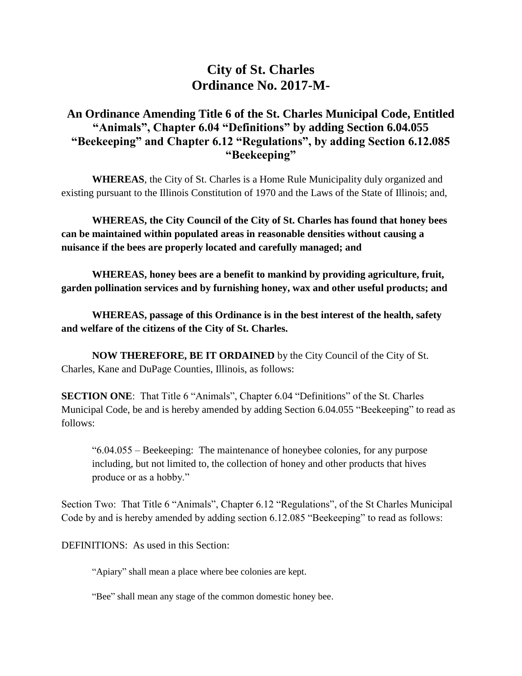# **City of St. Charles Ordinance No. 2017-M-**

## **An Ordinance Amending Title 6 of the St. Charles Municipal Code, Entitled "Animals", Chapter 6.04 "Definitions" by adding Section 6.04.055 "Beekeeping" and Chapter 6.12 "Regulations", by adding Section 6.12.085 "Beekeeping"**

**WHEREAS**, the City of St. Charles is a Home Rule Municipality duly organized and existing pursuant to the Illinois Constitution of 1970 and the Laws of the State of Illinois; and,

**WHEREAS, the City Council of the City of St. Charles has found that honey bees can be maintained within populated areas in reasonable densities without causing a nuisance if the bees are properly located and carefully managed; and**

**WHEREAS, honey bees are a benefit to mankind by providing agriculture, fruit, garden pollination services and by furnishing honey, wax and other useful products; and**

**WHEREAS, passage of this Ordinance is in the best interest of the health, safety and welfare of the citizens of the City of St. Charles.** 

**NOW THEREFORE, BE IT ORDAINED** by the City Council of the City of St. Charles, Kane and DuPage Counties, Illinois, as follows:

**SECTION ONE**: That Title 6 "Animals", Chapter 6.04 "Definitions" of the St. Charles Municipal Code, be and is hereby amended by adding Section 6.04.055 "Beekeeping" to read as follows:

"6.04.055 – Beekeeping: The maintenance of honeybee colonies, for any purpose including, but not limited to, the collection of honey and other products that hives produce or as a hobby."

Section Two: That Title 6 "Animals", Chapter 6.12 "Regulations", of the St Charles Municipal Code by and is hereby amended by adding section 6.12.085 "Beekeeping" to read as follows:

DEFINITIONS: As used in this Section:

"Apiary" shall mean a place where bee colonies are kept.

"Bee" shall mean any stage of the common domestic honey bee.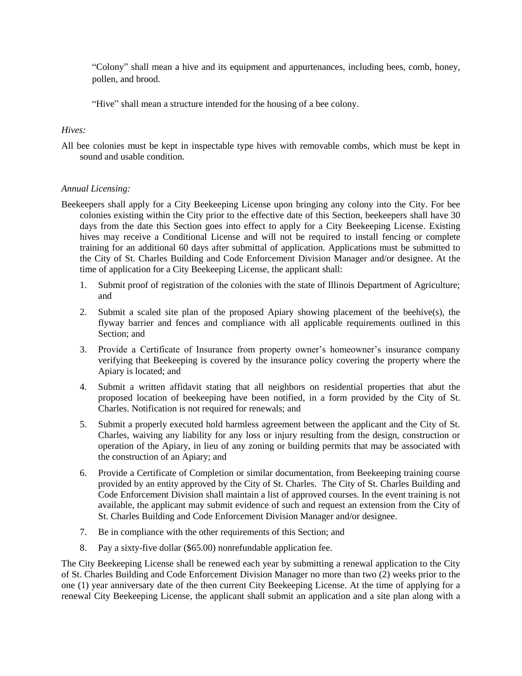"Colony" shall mean a hive and its equipment and appurtenances, including bees, comb, honey, pollen, and brood.

"Hive" shall mean a structure intended for the housing of a bee colony.

#### *Hives:*

All bee colonies must be kept in inspectable type hives with removable combs, which must be kept in sound and usable condition.

#### *Annual Licensing:*

- Beekeepers shall apply for a City Beekeeping License upon bringing any colony into the City. For bee colonies existing within the City prior to the effective date of this Section, beekeepers shall have 30 days from the date this Section goes into effect to apply for a City Beekeeping License. Existing hives may receive a Conditional License and will not be required to install fencing or complete training for an additional 60 days after submittal of application. Applications must be submitted to the City of St. Charles Building and Code Enforcement Division Manager and/or designee. At the time of application for a City Beekeeping License, the applicant shall:
	- 1. Submit proof of registration of the colonies with the state of Illinois Department of Agriculture; and
	- 2. Submit a scaled site plan of the proposed Apiary showing placement of the beehive(s), the flyway barrier and fences and compliance with all applicable requirements outlined in this Section; and
	- 3. Provide a Certificate of Insurance from property owner's homeowner's insurance company verifying that Beekeeping is covered by the insurance policy covering the property where the Apiary is located; and
	- 4. Submit a written affidavit stating that all neighbors on residential properties that abut the proposed location of beekeeping have been notified, in a form provided by the City of St. Charles. Notification is not required for renewals; and
	- 5. Submit a properly executed hold harmless agreement between the applicant and the City of St. Charles, waiving any liability for any loss or injury resulting from the design, construction or operation of the Apiary, in lieu of any zoning or building permits that may be associated with the construction of an Apiary; and
	- 6. Provide a Certificate of Completion or similar documentation, from Beekeeping training course provided by an entity approved by the City of St. Charles. The City of St. Charles Building and Code Enforcement Division shall maintain a list of approved courses. In the event training is not available, the applicant may submit evidence of such and request an extension from the City of St. Charles Building and Code Enforcement Division Manager and/or designee.
	- 7. Be in compliance with the other requirements of this Section; and
	- 8. Pay a sixty-five dollar (\$65.00) nonrefundable application fee.

The City Beekeeping License shall be renewed each year by submitting a renewal application to the City of St. Charles Building and Code Enforcement Division Manager no more than two (2) weeks prior to the one (1) year anniversary date of the then current City Beekeeping License. At the time of applying for a renewal City Beekeeping License, the applicant shall submit an application and a site plan along with a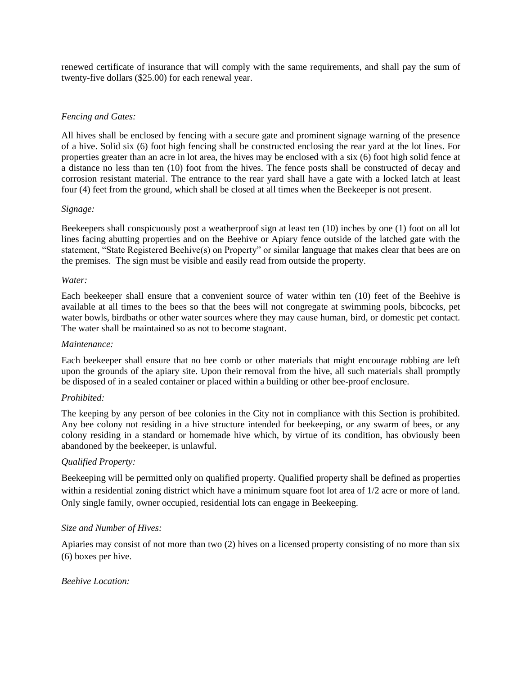renewed certificate of insurance that will comply with the same requirements, and shall pay the sum of twenty-five dollars (\$25.00) for each renewal year.

#### *Fencing and Gates:*

All hives shall be enclosed by fencing with a secure gate and prominent signage warning of the presence of a hive. Solid six (6) foot high fencing shall be constructed enclosing the rear yard at the lot lines. For properties greater than an acre in lot area, the hives may be enclosed with a six (6) foot high solid fence at a distance no less than ten (10) foot from the hives. The fence posts shall be constructed of decay and corrosion resistant material. The entrance to the rear yard shall have a gate with a locked latch at least four (4) feet from the ground, which shall be closed at all times when the Beekeeper is not present.

#### *Signage:*

Beekeepers shall conspicuously post a weatherproof sign at least ten (10) inches by one (1) foot on all lot lines facing abutting properties and on the Beehive or Apiary fence outside of the latched gate with the statement, "State Registered Beehive(s) on Property" or similar language that makes clear that bees are on the premises. The sign must be visible and easily read from outside the property.

#### *Water:*

Each beekeeper shall ensure that a convenient source of water within ten (10) feet of the Beehive is available at all times to the bees so that the bees will not congregate at swimming pools, bibcocks, pet water bowls, birdbaths or other water sources where they may cause human, bird, or domestic pet contact. The water shall be maintained so as not to become stagnant.

#### *Maintenance:*

Each beekeeper shall ensure that no bee comb or other materials that might encourage robbing are left upon the grounds of the apiary site. Upon their removal from the hive, all such materials shall promptly be disposed of in a sealed container or placed within a building or other bee-proof enclosure.

#### *Prohibited:*

The keeping by any person of bee colonies in the City not in compliance with this Section is prohibited. Any bee colony not residing in a hive structure intended for beekeeping, or any swarm of bees, or any colony residing in a standard or homemade hive which, by virtue of its condition, has obviously been abandoned by the beekeeper, is unlawful.

#### *Qualified Property:*

Beekeeping will be permitted only on qualified property. Qualified property shall be defined as properties within a residential zoning district which have a minimum square foot lot area of  $1/2$  acre or more of land. Only single family, owner occupied, residential lots can engage in Beekeeping.

#### *Size and Number of Hives:*

Apiaries may consist of not more than two (2) hives on a licensed property consisting of no more than six (6) boxes per hive.

#### *Beehive Location:*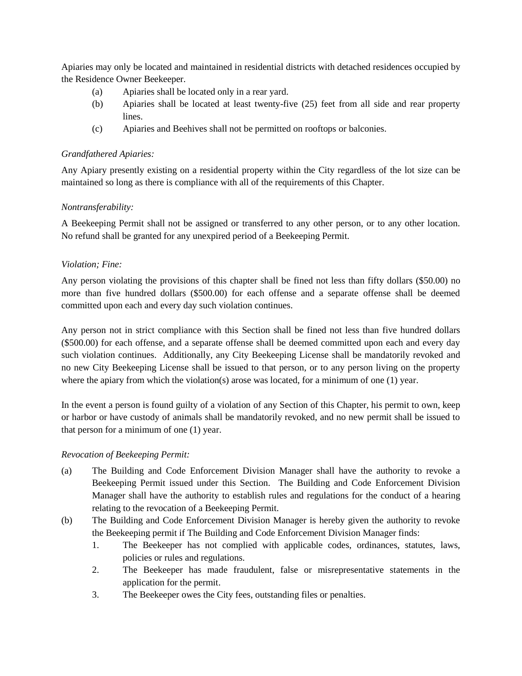Apiaries may only be located and maintained in residential districts with detached residences occupied by the Residence Owner Beekeeper.

- (a) Apiaries shall be located only in a rear yard.
- (b) Apiaries shall be located at least twenty-five (25) feet from all side and rear property lines.
- (c) Apiaries and Beehives shall not be permitted on rooftops or balconies.

## *Grandfathered Apiaries:*

Any Apiary presently existing on a residential property within the City regardless of the lot size can be maintained so long as there is compliance with all of the requirements of this Chapter.

## *Nontransferability:*

A Beekeeping Permit shall not be assigned or transferred to any other person, or to any other location. No refund shall be granted for any unexpired period of a Beekeeping Permit.

## *Violation; Fine:*

Any person violating the provisions of this chapter shall be fined not less than fifty dollars (\$50.00) no more than five hundred dollars (\$500.00) for each offense and a separate offense shall be deemed committed upon each and every day such violation continues.

Any person not in strict compliance with this Section shall be fined not less than five hundred dollars (\$500.00) for each offense, and a separate offense shall be deemed committed upon each and every day such violation continues. Additionally, any City Beekeeping License shall be mandatorily revoked and no new City Beekeeping License shall be issued to that person, or to any person living on the property where the apiary from which the violation(s) arose was located, for a minimum of one (1) year.

In the event a person is found guilty of a violation of any Section of this Chapter, his permit to own, keep or harbor or have custody of animals shall be mandatorily revoked, and no new permit shall be issued to that person for a minimum of one (1) year.

#### *Revocation of Beekeeping Permit:*

- (a) The Building and Code Enforcement Division Manager shall have the authority to revoke a Beekeeping Permit issued under this Section. The Building and Code Enforcement Division Manager shall have the authority to establish rules and regulations for the conduct of a hearing relating to the revocation of a Beekeeping Permit.
- (b) The Building and Code Enforcement Division Manager is hereby given the authority to revoke the Beekeeping permit if The Building and Code Enforcement Division Manager finds:
	- 1. The Beekeeper has not complied with applicable codes, ordinances, statutes, laws, policies or rules and regulations.
	- 2. The Beekeeper has made fraudulent, false or misrepresentative statements in the application for the permit.
	- 3. The Beekeeper owes the City fees, outstanding files or penalties.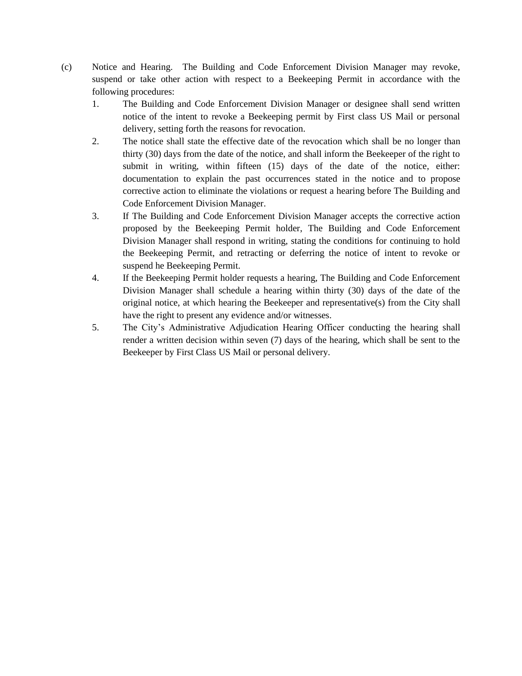- (c) Notice and Hearing. The Building and Code Enforcement Division Manager may revoke, suspend or take other action with respect to a Beekeeping Permit in accordance with the following procedures:
	- 1. The Building and Code Enforcement Division Manager or designee shall send written notice of the intent to revoke a Beekeeping permit by First class US Mail or personal delivery, setting forth the reasons for revocation.
	- 2. The notice shall state the effective date of the revocation which shall be no longer than thirty (30) days from the date of the notice, and shall inform the Beekeeper of the right to submit in writing, within fifteen (15) days of the date of the notice, either: documentation to explain the past occurrences stated in the notice and to propose corrective action to eliminate the violations or request a hearing before The Building and Code Enforcement Division Manager.
	- 3. If The Building and Code Enforcement Division Manager accepts the corrective action proposed by the Beekeeping Permit holder, The Building and Code Enforcement Division Manager shall respond in writing, stating the conditions for continuing to hold the Beekeeping Permit, and retracting or deferring the notice of intent to revoke or suspend he Beekeeping Permit.
	- 4. If the Beekeeping Permit holder requests a hearing, The Building and Code Enforcement Division Manager shall schedule a hearing within thirty (30) days of the date of the original notice, at which hearing the Beekeeper and representative(s) from the City shall have the right to present any evidence and/or witnesses.
	- 5. The City's Administrative Adjudication Hearing Officer conducting the hearing shall render a written decision within seven (7) days of the hearing, which shall be sent to the Beekeeper by First Class US Mail or personal delivery.